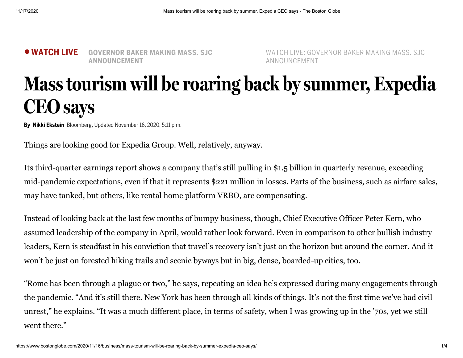●**WATCH LIVE GOVERNOR BAKER MAKING MASS. SJC ANNOUNCEMENT**

WATCH LIVE: GOVERNOR BAKER MAKING MASS. SJC ANNOUNCEMENT

## **Masstourism will be roaring back bysummer, Expedia CEO says**

**By Nikki Ekstein** Bloomberg, Updated November 16, 2020, 5:11 p.m.

Things are looking good for Expedia Group. Well, relatively, anyway.

Its third-quarter earnings report shows a company that's still pulling in \$1.5 billion in quarterly revenue, exceeding mid-pandemic expectations, even if that it represents \$221 million in losses. Parts of the business, such as airfare sales, may have tanked, but others, like rental home platform VRBO, are compensating.

Instead of looking back at the last few months of bumpy business, though, Chief Executive Officer Peter Kern, who assumed leadership of the company in April, would rather look forward. Even in comparison to other bullish industry leaders, Kern is steadfast in his conviction that travel's recovery isn't just on the horizon but around the corner. And it won't be just on forested hiking trails and scenic byways but in big, dense, boarded-up cities, too.

"Rome has been through a plague or two," he says, repeating an idea he's expressed during many engagements through the pandemic. "And it's still there. New York has been through all kinds of things. It's not the first time we've had civil unrest," he explains. "It was a much different place, in terms of safety, when I was growing up in the '70s, yet we still went there."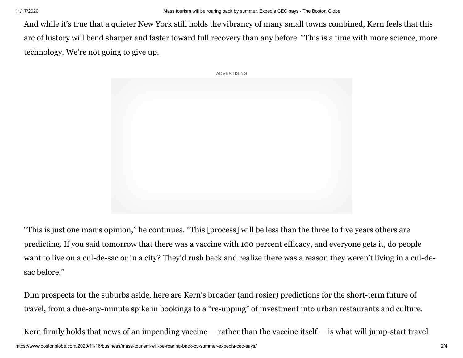And while it's true that a quieter New York still holds the vibrancy of many small towns combined, Kern feels that this arc of history will bend sharper and faster toward full recovery than any before. "This is a time with more science, more technology. We're not going to give up.



"This is just one man's opinion," he continues. "This [process] will be less than the three to five years others are predicting. If you said tomorrow that there was a vaccine with 100 percent efficacy, and everyone gets it, do people want to live on a cul-de-sac or in a city? They'd rush back and realize there was a reason they weren't living in a cul-desac before."

Dim prospects for the suburbs aside, here are Kern's broader (and rosier) predictions for the short-term future of travel, from a due-any-minute spike in bookings to a "re-upping" of investment into urban restaurants and culture.

Kern firmly holds that news of an impending vaccine  $-$  rather than the vaccine itself  $-$  is what will jump-start travel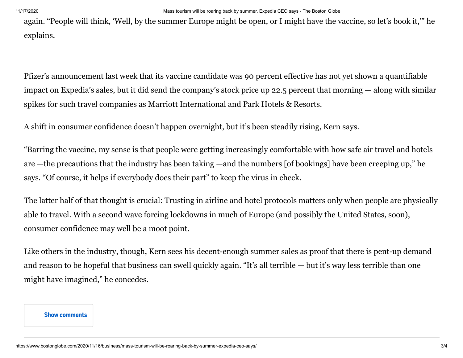again. "People will think, 'Well, by the summer Europe might be open, or I might have the vaccine, so let's book it,'" he explains.

Pfizer's announcement last week that its vaccine candidate was 90 percent effective has not yet shown a quantifiable impact on Expedia's sales, but it did send the company's stock price up 22.5 percent that morning — along with similar spikes for such travel companies as Marriott International and Park Hotels & Resorts.

A shift in consumer confidence doesn't happen overnight, but it's been steadily rising, Kern says.

"Barring the vaccine, my sense is that people were getting increasingly comfortable with how safe air travel and hotels are —the precautions that the industry has been taking —and the numbers [of bookings] have been creeping up," he says. "Of course, it helps if everybody does their part" to keep the virus in check.

The latter half of that thought is crucial: Trusting in airline and hotel protocols matters only when people are physically able to travel. With a second wave forcing lockdowns in much of Europe (and possibly the United States, soon), consumer confidence may well be a moot point.

Like others in the industry, though, Kern sees his decent-enough summer sales as proof that there is pent-up demand and reason to be hopeful that business can swell quickly again. "It's all terrible — but it's way less terrible than one might have imagined," he concedes.

## **Show comments**